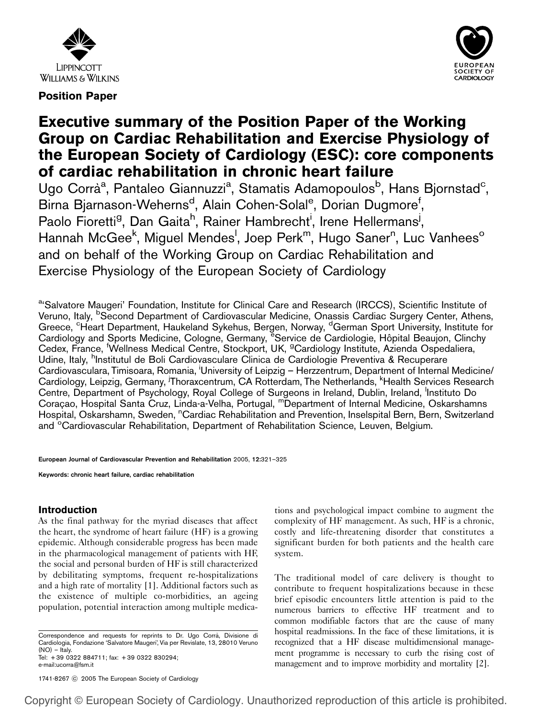



Position Paper

# Executive summary of the Position Paper of the Working Group on Cardiac Rehabilitation and Exercise Physiology of the European Society of Cardiology (ESC): core components of cardiac rehabilitation in chronic heart failure

Ugo Corrà<sup>a</sup>, Pantaleo Giannuzzi<sup>a</sup>, Stamatis Adamopoulos<sup>b</sup>, Hans Bjornstad<sup>c</sup>, Birna Bjarnason-Weherns<sup>d</sup>, Alain Cohen-Solal<sup>e</sup>, Dorian Dugmore<sup>f</sup>, Paolo Fioretti<sup>g</sup>, Dan Gaita<sup>h</sup>, Rainer Hambrecht<sup>i</sup>, Irene Hellermans<sup>j</sup>, Hannah McGee<sup>k</sup>, Miguel Mendes<sup>l</sup>, Joep Perk<sup>m</sup>, Hugo Saner<sup>n</sup>, Luc Vanhees<sup>o</sup> and on behalf of the Working Group on Cardiac Rehabilitation and Exercise Physiology of the European Society of Cardiology

a Salvatore Maugeri' Foundation, Institute for Clinical Care and Research (IRCCS), Scientific Institute of Veruno, Italy, <sup>b</sup>Second Department of Cardiovascular Medicine, Onassis Cardiac Surgery Center, Athens, Greece, <sup>c</sup>Heart Department, Haukeland Sykehus, Bergen, Norway, <sup>d</sup>German Sport University, Institute for Cardiology and Sports Medicine, Cologne, Germany, <sup>e</sup>Service de Cardiologie, Hôpital Beaujon, Clinchy Cedex, France, <sup>f</sup>Wellness Medical Centre, Stockport, UK, <sup>g</sup>Cardiology Institute, Azienda Ospedaliera, Udine, Italy, <sup>h</sup>Institutul de Boli Cardiovasculare Clinica de Cardiologie Preventiva & Recuperare Cardiovasculara, Timisoara, Romania, <sup>i</sup>University of Leipzig - Herzzentrum, Department of Internal Medicine/ Cardiology, Leipzig, Germany, <sup>j</sup>Thoraxcentrum, CA Rotterdam, The Netherlands, <sup>k</sup>Health Services Research Centre, Department of Psychology, Royal College of Surgeons in Ireland, Dublin, Ireland, Instituto Do Coração, Hospital Santa Cruz, Linda-a-Velha, Portugal, <sup>m</sup>Department of Internal Medicine, Oskarshamns Hospital, Oskarshamn, Sweden, "Cardiac Rehabilitation and Prevention, Inselspital Bern, Bern, Switzerland and <sup>'o</sup>Cardiovascular Rehabilitation, Department of Rehabilitation Science, Leuven, Belgium.

European Journal of Cardiovascular Prevention and Rehabilitation 2005, 12:321–325

Keywords: chronic heart failure, cardiac rehabilitation

## Introduction

As the final pathway for the myriad diseases that affect the heart, the syndrome of heart failure (HF) is a growing epidemic. Although considerable progress has been made in the pharmacological management of patients with HF, the social and personal burden of HF is still characterized by debilitating symptoms, frequent re-hospitalizations and a high rate of mortality [1]. Additional factors such as the existence of multiple co-morbidities, an ageing population, potential interaction among multiple medica-

Correspondence and requests for reprints to Dr. Ugo Corrà, Divisione di Cardiologia, Fondazione 'Salvatore Maugeri', Via per Revislate, 13, 28010 Veruno  $(NO)$  – Italy.

Tel: + 39 0322 884711; fax: + 39 0322 830294; e-mail:ucorra@fsm.it

1741-8267 C 2005 The European Society of Cardiology

tions and psychological impact combine to augment the complexity of HF management. As such, HF is a chronic, costly and life-threatening disorder that constitutes a significant burden for both patients and the health care system.

The traditional model of care delivery is thought to contribute to frequent hospitalizations because in these brief episodic encounters little attention is paid to the numerous barriers to effective HF treatment and to common modifiable factors that are the cause of many hospital readmissions. In the face of these limitations, it is recognized that a HF disease multidimensional management programme is necessary to curb the rising cost of management and to improve morbidity and mortality [2].

Copyright © European Society of Cardiology. Unauthorized reproduction of this article is prohibited.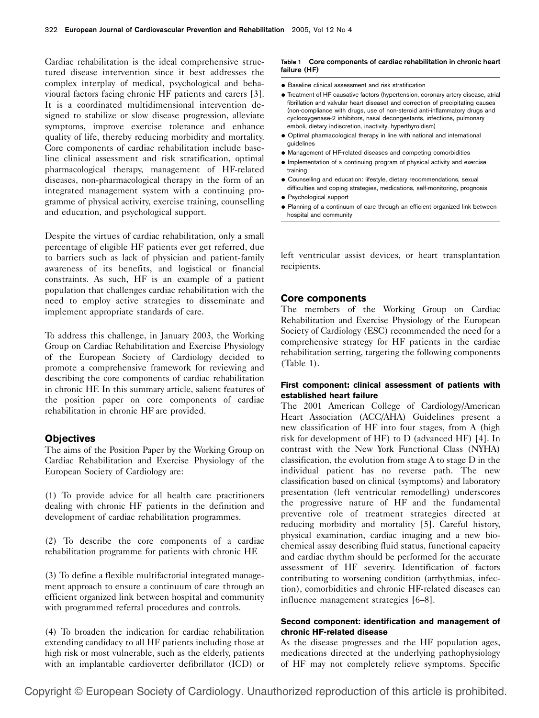Cardiac rehabilitation is the ideal comprehensive structured disease intervention since it best addresses the complex interplay of medical, psychological and behavioural factors facing chronic HF patients and carers [3]. It is a coordinated multidimensional intervention designed to stabilize or slow disease progression, alleviate symptoms, improve exercise tolerance and enhance quality of life, thereby reducing morbidity and mortality. Core components of cardiac rehabilitation include baseline clinical assessment and risk stratification, optimal pharmacological therapy, management of HF-related diseases, non-pharmacological therapy in the form of an integrated management system with a continuing programme of physical activity, exercise training, counselling and education, and psychological support.

Despite the virtues of cardiac rehabilitation, only a small percentage of eligible HF patients ever get referred, due to barriers such as lack of physician and patient-family awareness of its benefits, and logistical or financial constraints. As such, HF is an example of a patient population that challenges cardiac rehabilitation with the need to employ active strategies to disseminate and implement appropriate standards of care.

To address this challenge, in January 2003, the Working Group on Cardiac Rehabilitation and Exercise Physiology of the European Society of Cardiology decided to promote a comprehensive framework for reviewing and describing the core components of cardiac rehabilitation in chronic HF. In this summary article, salient features of the position paper on core components of cardiac rehabilitation in chronic HF are provided.

## **Objectives**

The aims of the Position Paper by the Working Group on Cardiac Rehabilitation and Exercise Physiology of the European Society of Cardiology are:

(1) To provide advice for all health care practitioners dealing with chronic HF patients in the definition and development of cardiac rehabilitation programmes.

(2) To describe the core components of a cardiac rehabilitation programme for patients with chronic HF.

(3) To define a flexible multifactorial integrated management approach to ensure a continuum of care through an efficient organized link between hospital and community with programmed referral procedures and controls.

(4) To broaden the indication for cardiac rehabilitation extending candidacy to all HF patients including those at high risk or most vulnerable, such as the elderly, patients with an implantable cardioverter defibrillator (ICD) or

#### Table 1 Core components of cardiac rehabilitation in chronic heart failure (HF)

- $\bullet$  Baseline clinical assessment and risk stratification
- $\bullet$  Treatment of HF causative factors (hypertension, coronary artery disease, atrial fibrillation and valvular heart disease) and correction of precipitating causes (non-compliance with drugs, use of non-steroid anti-inflammatory drugs and cyclooxygenase-2 inhibitors, nasal decongestants, infections, pulmonary emboli, dietary indiscretion, inactivity, hyperthyroidism)
- $\bullet$  Optimal pharmacological therapy in line with national and international guidelines
- $\bullet$  Management of HF-related diseases and competing comorbidities
- $\bullet$  Implementation of a continuing program of physical activity and exercise training
- Counselling and education: lifestyle, dietary recommendations, sexual difficulties and coping strategies, medications, self-monitoring, prognosis
- $\bullet$  Psychological support
- $\bullet$  Planning of a continuum of care through an efficient organized link between hospital and community

left ventricular assist devices, or heart transplantation recipients.

## Core components

The members of the Working Group on Cardiac Rehabilitation and Exercise Physiology of the European Society of Cardiology (ESC) recommended the need for a comprehensive strategy for HF patients in the cardiac rehabilitation setting, targeting the following components (Table 1).

## First component: clinical assessment of patients with established heart failure

The 2001 American College of Cardiology/American Heart Association (ACC/AHA) Guidelines present a new classification of HF into four stages, from A (high risk for development of HF) to D (advanced HF) [4]. In contrast with the New York Functional Class (NYHA) classification, the evolution from stage A to stage D in the individual patient has no reverse path. The new classification based on clinical (symptoms) and laboratory presentation (left ventricular remodelling) underscores the progressive nature of HF and the fundamental preventive role of treatment strategies directed at reducing morbidity and mortality [5]. Careful history, physical examination, cardiac imaging and a new biochemical assay describing fluid status, functional capacity and cardiac rhythm should be performed for the accurate assessment of HF severity. Identification of factors contributing to worsening condition (arrhythmias, infection), comorbidities and chronic HF-related diseases can influence management strategies [6–8].

## Second component: identification and management of chronic HF-related disease

As the disease progresses and the HF population ages, medications directed at the underlying pathophysiology of HF may not completely relieve symptoms. Specific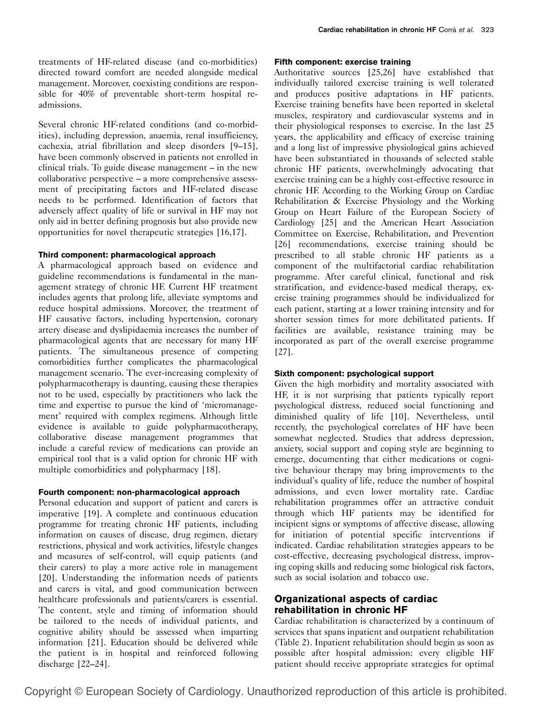treatments of HF-related disease (and co-morbidities) directed toward comfort are needed alongside medical management. Moreover, coexisting conditions are responsible for 40% of preventable short-term hospital readmissions.

Several chronic HF-related conditions (and co-morbidities), including depression, anaemia, renal insufficiency, cachexia, atrial fibrillation and sleep disorders [9–15], have been commonly observed in patients not enrolled in clinical trials. To guide disease management – in the new collaborative perspective – a more comprehensive assessment of precipitating factors and HF-related disease needs to be performed. Identification of factors that adversely affect quality of life or survival in HF may not only aid in better defining prognosis but also provide new opportunities for novel therapeutic strategies [16,17].

## Third component: pharmacological approach

A pharmacological approach based on evidence and guideline recommendations is fundamental in the management strategy of chronic HF. Current HF treatment includes agents that prolong life, alleviate symptoms and reduce hospital admissions. Moreover, the treatment of HF causative factors, including hypertension, coronary artery disease and dyslipidaemia increases the number of pharmacological agents that are necessary for many HF patients. The simultaneous presence of competing comorbidities further complicates the pharmacological management scenario. The ever-increasing complexity of polypharmacotherapy is daunting, causing these therapies not to be used, especially by practitioners who lack the time and expertise to pursue the kind of 'micromanagement' required with complex regimens. Although little evidence is available to guide polypharmacotherapy, collaborative disease management programmes that include a careful review of medications can provide an empirical tool that is a valid option for chronic HF with multiple comorbidities and polypharmacy [18].

#### Fourth component: non-pharmacological approach

Personal education and support of patient and carers is imperative [19]. A complete and continuous education programme for treating chronic HF patients, including information on causes of disease, drug regimen, dietary restrictions, physical and work activities, lifestyle changes and measures of self-control, will equip patients (and their carers) to play a more active role in management [20]. Understanding the information needs of patients and carers is vital, and good communication between healthcare professionals and patients/carers is essential. The content, style and timing of information should be tailored to the needs of individual patients, and cognitive ability should be assessed when imparting information [21]. Education should be delivered while the patient is in hospital and reinforced following discharge [22–24].

#### Fifth component: exercise training

Authoritative sources [25,26] have established that individually tailored exercise training is well tolerated and produces positive adaptations in HF patients. Exercise training benefits have been reported in skeletal muscles, respiratory and cardiovascular systems and in their physiological responses to exercise. In the last 25 years, the applicability and efficacy of exercise training and a long list of impressive physiological gains achieved have been substantiated in thousands of selected stable chronic HF patients, overwhelmingly advocating that exercise training can be a highly cost-effective resource in chronic HF. According to the Working Group on Cardiac Rehabilitation & Exercise Physiology and the Working Group on Heart Failure of the European Society of Cardiology [25] and the American Heart Association Committee on Exercise, Rehabilitation, and Prevention [26] recommendations, exercise training should be prescribed to all stable chronic HF patients as a component of the multifactorial cardiac rehabilitation programme. After careful clinical, functional and risk stratification, and evidence-based medical therapy, exercise training programmes should be individualized for each patient, starting at a lower training intensity and for shorter session times for more debilitated patients. If facilities are available, resistance training may be incorporated as part of the overall exercise programme [27].

## Sixth component: psychological support

Given the high morbidity and mortality associated with HF, it is not surprising that patients typically report psychological distress, reduced social functioning and diminished quality of life [10]. Nevertheless, until recently, the psychological correlates of HF have been somewhat neglected. Studies that address depression, anxiety, social support and coping style are beginning to emerge, documenting that either medications or cognitive behaviour therapy may bring improvements to the individual's quality of life, reduce the number of hospital admissions, and even lower mortality rate. Cardiac rehabilitation programmes offer an attractive conduit through which HF patients may be identified for incipient signs or symptoms of affective disease, allowing for initiation of potential specific interventions if indicated. Cardiac rehabilitation strategies appears to be cost-effective, decreasing psychological distress, improving coping skills and reducing some biological risk factors, such as social isolation and tobacco use.

## Organizational aspects of cardiac rehabilitation in chronic HF

Cardiac rehabilitation is characterized by a continuum of services that spans inpatient and outpatient rehabilitation (Table 2). Inpatient rehabilitation should begin as soon as possible after hospital admission: every eligible HF patient should receive appropriate strategies for optimal

Copyright © European Society of Cardiology. Unauthorized reproduction of this article is prohibited.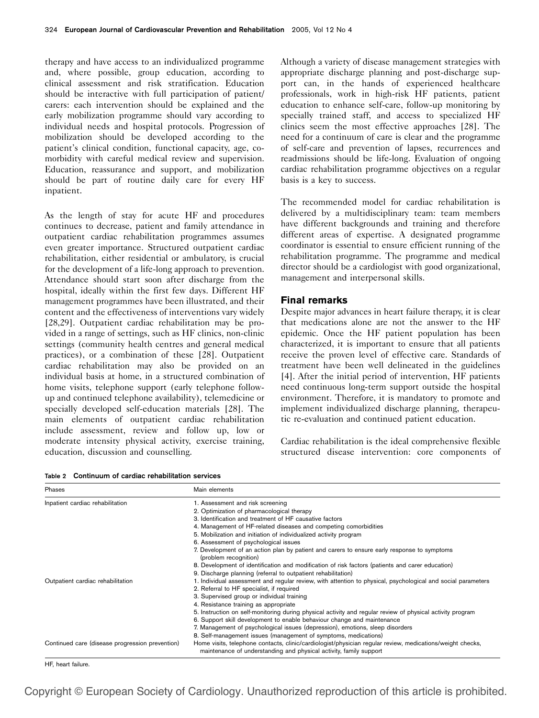therapy and have access to an individualized programme and, where possible, group education, according to clinical assessment and risk stratification. Education should be interactive with full participation of patient/ carers: each intervention should be explained and the early mobilization programme should vary according to individual needs and hospital protocols. Progression of mobilization should be developed according to the patient's clinical condition, functional capacity, age, comorbidity with careful medical review and supervision. Education, reassurance and support, and mobilization should be part of routine daily care for every HF inpatient.

As the length of stay for acute HF and procedures continues to decrease, patient and family attendance in outpatient cardiac rehabilitation programmes assumes even greater importance. Structured outpatient cardiac rehabilitation, either residential or ambulatory, is crucial for the development of a life-long approach to prevention. Attendance should start soon after discharge from the hospital, ideally within the first few days. Different HF management programmes have been illustrated, and their content and the effectiveness of interventions vary widely [28,29]. Outpatient cardiac rehabilitation may be provided in a range of settings, such as HF clinics, non-clinic settings (community health centres and general medical practices), or a combination of these [28]. Outpatient cardiac rehabilitation may also be provided on an individual basis at home, in a structured combination of home visits, telephone support (early telephone followup and continued telephone availability), telemedicine or specially developed self-education materials [28]. The main elements of outpatient cardiac rehabilitation include assessment, review and follow up, low or moderate intensity physical activity, exercise training, education, discussion and counselling.

Table 2 Continuum of cardiac rehabilitation services

Although a variety of disease management strategies with appropriate discharge planning and post-discharge support can, in the hands of experienced healthcare professionals, work in high-risk HF patients, patient education to enhance self-care, follow-up monitoring by specially trained staff, and access to specialized HF clinics seem the most effective approaches [28]. The need for a continuum of care is clear and the programme of self-care and prevention of lapses, recurrences and readmissions should be life-long. Evaluation of ongoing cardiac rehabilitation programme objectives on a regular basis is a key to success.

The recommended model for cardiac rehabilitation is delivered by a multidisciplinary team: team members have different backgrounds and training and therefore different areas of expertise. A designated programme coordinator is essential to ensure efficient running of the rehabilitation programme. The programme and medical director should be a cardiologist with good organizational, management and interpersonal skills.

## Final remarks

Despite major advances in heart failure therapy, it is clear that medications alone are not the answer to the HF epidemic. Once the HF patient population has been characterized, it is important to ensure that all patients receive the proven level of effective care. Standards of treatment have been well delineated in the guidelines [4]. After the initial period of intervention, HF patients need continuous long-term support outside the hospital environment. Therefore, it is mandatory to promote and implement individualized discharge planning, therapeutic re-evaluation and continued patient education.

Cardiac rehabilitation is the ideal comprehensive flexible structured disease intervention: core components of

| Phases                                          | Main elements                                                                                                                                                                                                                                                                                                                                                                                                                                                                                                                                                                                                                                                  |
|-------------------------------------------------|----------------------------------------------------------------------------------------------------------------------------------------------------------------------------------------------------------------------------------------------------------------------------------------------------------------------------------------------------------------------------------------------------------------------------------------------------------------------------------------------------------------------------------------------------------------------------------------------------------------------------------------------------------------|
| Inpatient cardiac rehabilitation                | 1. Assessment and risk screening<br>2. Optimization of pharmacological therapy<br>3. Identification and treatment of HF causative factors<br>4. Management of HF-related diseases and competing comorbidities<br>5. Mobilization and initiation of individualized activity program<br>6. Assessment of psychological issues<br>7. Development of an action plan by patient and carers to ensure early response to symptoms<br>(problem recognition)<br>8. Development of identification and modification of risk factors (patients and carer education)                                                                                                        |
| Outpatient cardiac rehabilitation               | 9. Discharge planning (referral to outpatient rehabilitation)<br>1. Individual assessment and regular review, with attention to physical, psychological and social parameters<br>2. Referral to HF specialist, if required<br>3. Supervised group or individual training<br>4. Resistance training as appropriate<br>5. Instruction on self-monitoring during physical activity and regular review of physical activity program<br>6. Support skill development to enable behaviour change and maintenance<br>7. Management of psychological issues (depression), emotions, sleep disorders<br>8. Self-management issues (management of symptoms, medications) |
| Continued care (disease progression prevention) | Home visits, telephone contacts, clinic/cardiologist/physician regular review, medications/weight checks,<br>maintenance of understanding and physical activity, family support                                                                                                                                                                                                                                                                                                                                                                                                                                                                                |

HF, heart failure.

Copyright © European Society of Cardiology. Unauthorized reproduction of this article is prohibited.